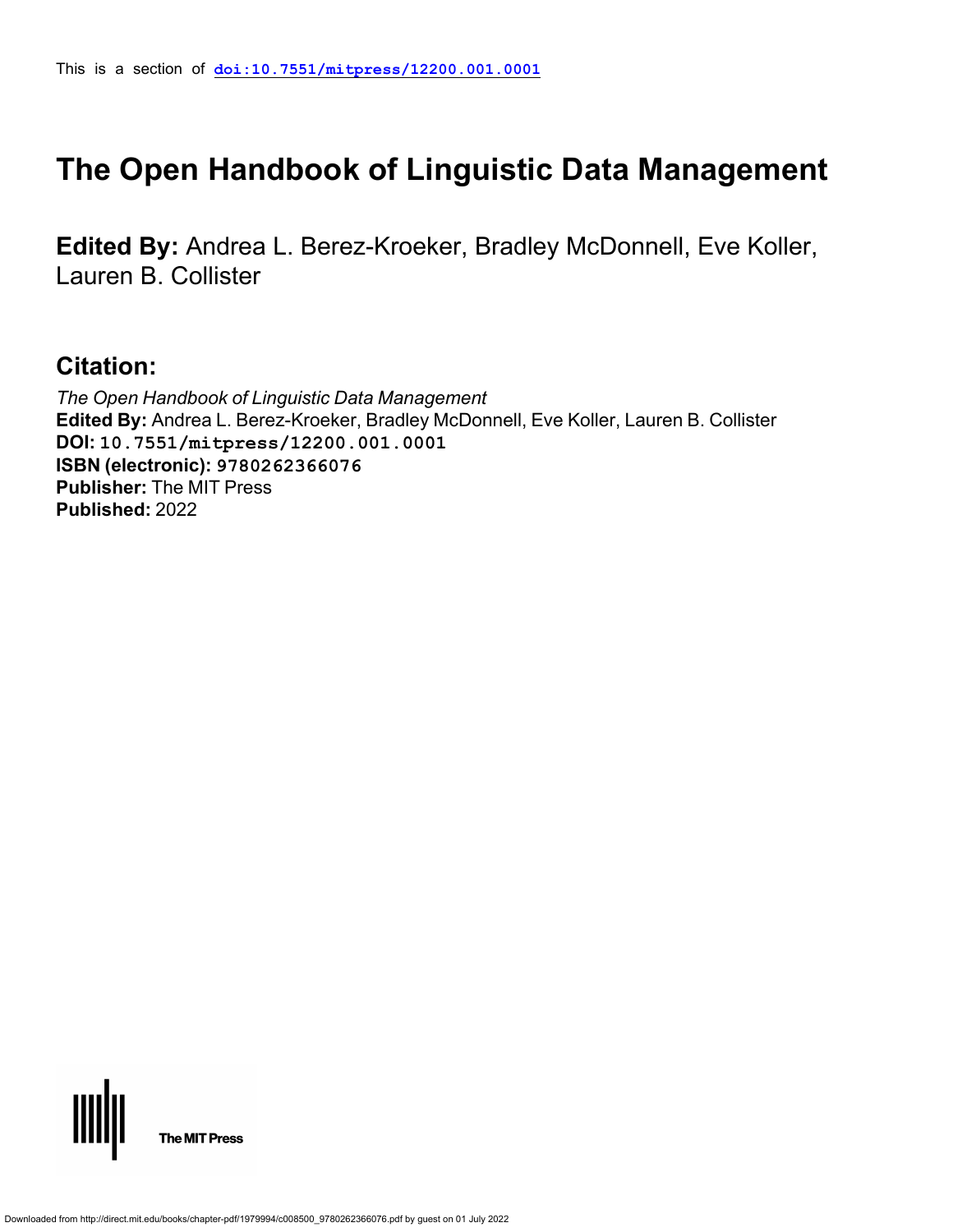# **The Open Handbook of Linguistic Data Management**

**Edited By:** Andrea L. Berez-Kroeker, Bradley McDonnell, Eve Koller, Lauren B. Collister

## **Citation:**

*The Open Handbook of Linguistic Data Management* **Edited By:** Andrea L. Berez-Kroeker, Bradley McDonnell, Eve Koller, Lauren B. Collister **DOI: 10.7551/mitpress/12200.001.0001 ISBN (electronic): 9780262366076 Publisher:** The MIT Press **Published:** 2022

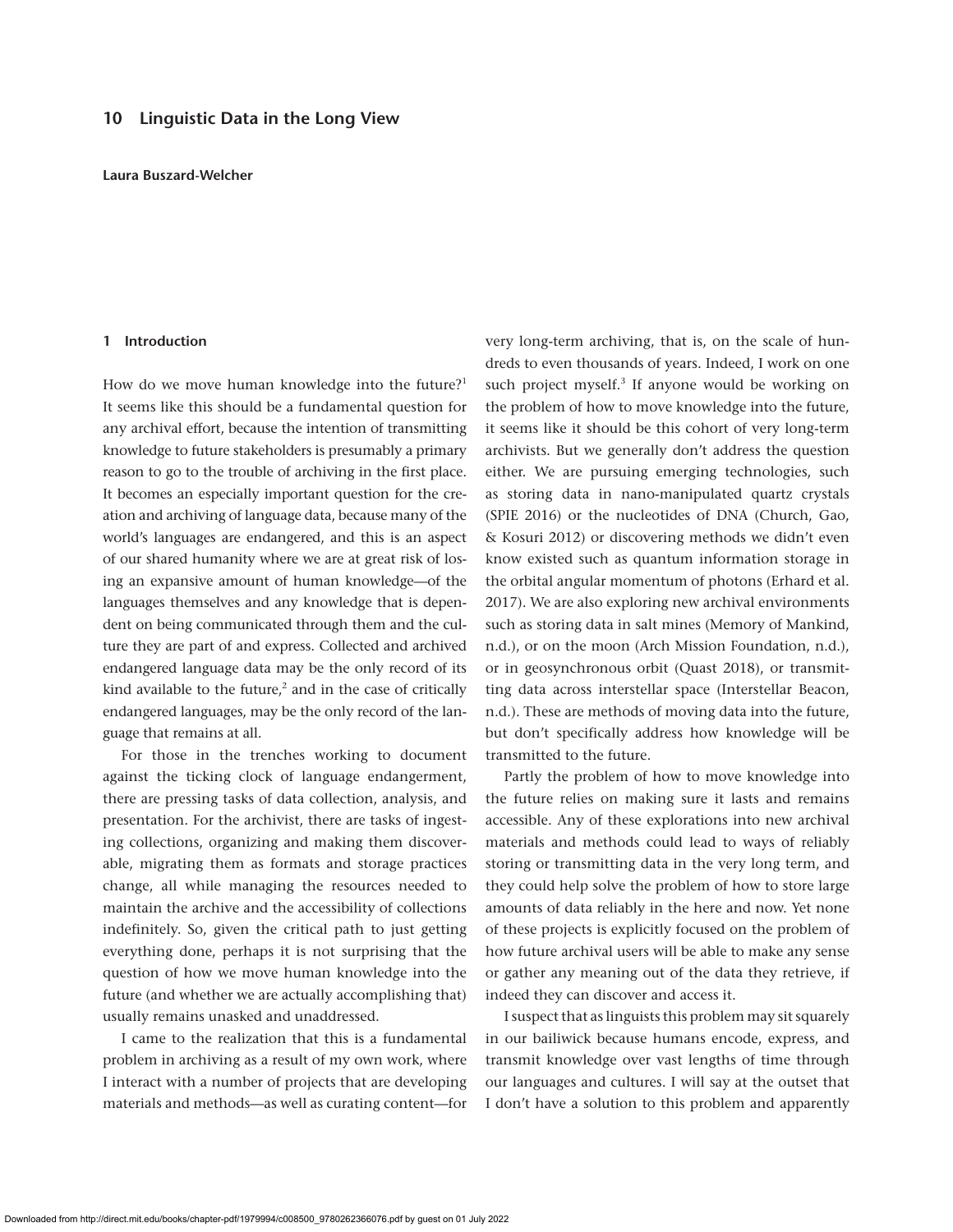#### **10 Linguistic Data in the Long View**

**Laura Buszard-Welcher**

### **1 Introduction**

How do we move human knowledge into the future?<sup>1</sup> It seems like this should be a fundamental question for any archival effort, because the intention of transmitting knowledge to future stakeholders is presumably a primary reason to go to the trouble of archiving in the first place. It becomes an especially important question for the creation and archiving of language data, because many of the world's languages are endangered, and this is an aspect of our shared humanity where we are at great risk of losing an expansive amount of human knowledge—of the languages themselves and any knowledge that is dependent on being communicated through them and the culture they are part of and express. Collected and archived endangered language data may be the only record of its kind available to the future, $^2$  and in the case of critically endangered languages, may be the only record of the language that remains at all.

For those in the trenches working to document against the ticking clock of language endangerment, there are pressing tasks of data collection, analysis, and presentation. For the archivist, there are tasks of ingesting collections, organizing and making them discoverable, migrating them as formats and storage practices change, all while managing the resources needed to maintain the archive and the accessibility of collections indefinitely. So, given the critical path to just getting everything done, perhaps it is not surprising that the question of how we move human knowledge into the future (and whether we are actually accomplishing that) usually remains unasked and unaddressed.

I came to the realization that this is a fundamental problem in archiving as a result of my own work, where I interact with a number of projects that are developing materials and methods—as well as curating content—for

very long-term archiving, that is, on the scale of hundreds to even thousands of years. Indeed, I work on one such project myself.<sup>3</sup> If anyone would be working on the problem of how to move knowledge into the future, it seems like it should be this cohort of very long-term archivists. But we generally don't address the question either. We are pursuing emerging technologies, such as storing data in nano-manipulated quartz crystals (SPIE 2016) or the nucleotides of DNA (Church, Gao, & Kosuri 2012) or discovering methods we didn't even know existed such as quantum information storage in the orbital angular momentum of photons (Erhard et al. 2017). We are also exploring new archival environments such as storing data in salt mines (Memory of Mankind, n.d.), or on the moon (Arch Mission Foundation, n.d.), or in geosynchronous orbit (Quast 2018), or transmitting data across interstellar space (Interstellar Beacon, n.d.). These are methods of moving data into the future, but don't specifically address how knowledge will be transmitted to the future.

Partly the problem of how to move knowledge into the future relies on making sure it lasts and remains accessible. Any of these explorations into new archival materials and methods could lead to ways of reliably storing or transmitting data in the very long term, and they could help solve the problem of how to store large amounts of data reliably in the here and now. Yet none of these projects is explicitly focused on the problem of how future archival users will be able to make any sense or gather any meaning out of the data they retrieve, if indeed they can discover and access it.

I suspect that as linguists this problem may sit squarely in our bailiwick because humans encode, express, and transmit knowledge over vast lengths of time through our languages and cultures. I will say at the outset that I don't have a solution to this problem and apparently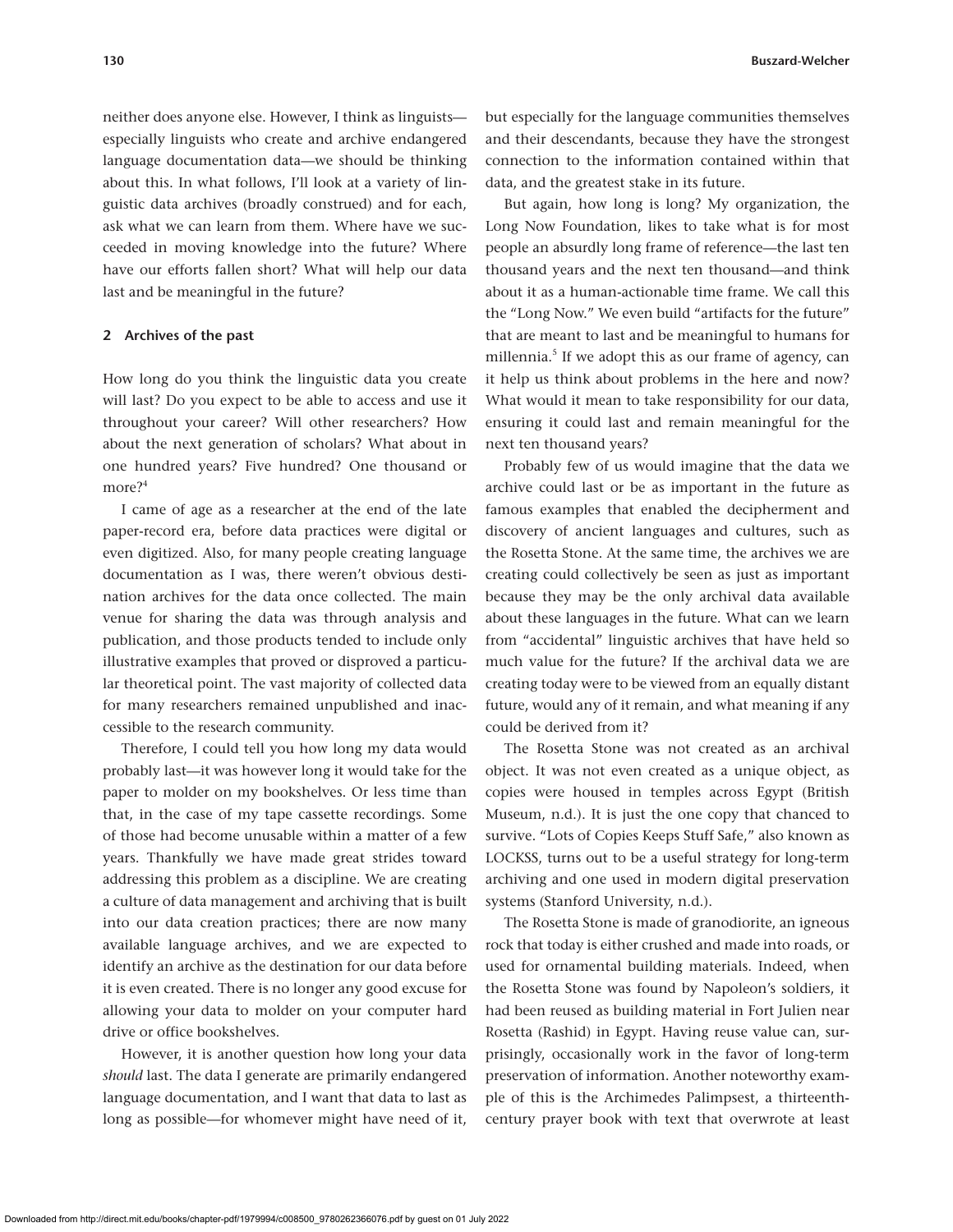neither does anyone else. However, I think as linguists especially linguists who create and archive endangered language documentation data—we should be thinking about this. In what follows, I'll look at a variety of linguistic data archives (broadly construed) and for each, ask what we can learn from them. Where have we succeeded in moving knowledge into the future? Where have our efforts fallen short? What will help our data last and be meaningful in the future?

#### **2 Archives of the past**

How long do you think the linguistic data you create will last? Do you expect to be able to access and use it throughout your career? Will other researchers? How about the next generation of scholars? What about in one hundred years? Five hundred? One thousand or more?<sup>4</sup>

I came of age as a researcher at the end of the late paper-record era, before data practices were digital or even digitized. Also, for many people creating language documentation as I was, there weren't obvious destination archives for the data once collected. The main venue for sharing the data was through analysis and publication, and those products tended to include only illustrative examples that proved or disproved a particular theoretical point. The vast majority of collected data for many researchers remained unpublished and inaccessible to the research community.

Therefore, I could tell you how long my data would probably last—it was however long it would take for the paper to molder on my bookshelves. Or less time than that, in the case of my tape cassette recordings. Some of those had become unusable within a matter of a few years. Thankfully we have made great strides toward addressing this problem as a discipline. We are creating a culture of data management and archiving that is built into our data creation practices; there are now many available language archives, and we are expected to identify an archive as the destination for our data before it is even created. There is no longer any good excuse for allowing your data to molder on your computer hard drive or office bookshelves.

However, it is another question how long your data *should* last. The data I generate are primarily endangered language documentation, and I want that data to last as long as possible—for whomever might have need of it,

but especially for the language communities themselves and their descendants, because they have the strongest connection to the information contained within that data, and the greatest stake in its future.

But again, how long is long? My organization, the Long Now Foundation, likes to take what is for most people an absurdly long frame of reference—the last ten thousand years and the next ten thousand—and think about it as a human-actionable time frame. We call this the "Long Now." We even build "artifacts for the future" that are meant to last and be meaningful to humans for millennia.<sup>5</sup> If we adopt this as our frame of agency, can it help us think about problems in the here and now? What would it mean to take responsibility for our data, ensuring it could last and remain meaningful for the next ten thousand years?

Probably few of us would imagine that the data we archive could last or be as important in the future as famous examples that enabled the decipherment and discovery of ancient languages and cultures, such as the Rosetta Stone. At the same time, the archives we are creating could collectively be seen as just as important because they may be the only archival data available about these languages in the future. What can we learn from "accidental" linguistic archives that have held so much value for the future? If the archival data we are creating today were to be viewed from an equally distant future, would any of it remain, and what meaning if any could be derived from it?

The Rosetta Stone was not created as an archival object. It was not even created as a unique object, as copies were housed in temples across Egypt (British Museum, n.d.). It is just the one copy that chanced to survive. "Lots of Copies Keeps Stuff Safe," also known as LOCKSS, turns out to be a useful strategy for long-term archiving and one used in modern digital preservation systems (Stanford University, n.d.).

The Rosetta Stone is made of granodiorite, an igneous rock that today is either crushed and made into roads, or used for ornamental building materials. Indeed, when the Rosetta Stone was found by Napoleon's soldiers, it had been reused as building material in Fort Julien near Rosetta (Rashid) in Egypt. Having reuse value can, surprisingly, occasionally work in the favor of long-term preservation of information. Another noteworthy example of this is the Archimedes Palimpsest, a thirteenthcentury prayer book with text that overwrote at least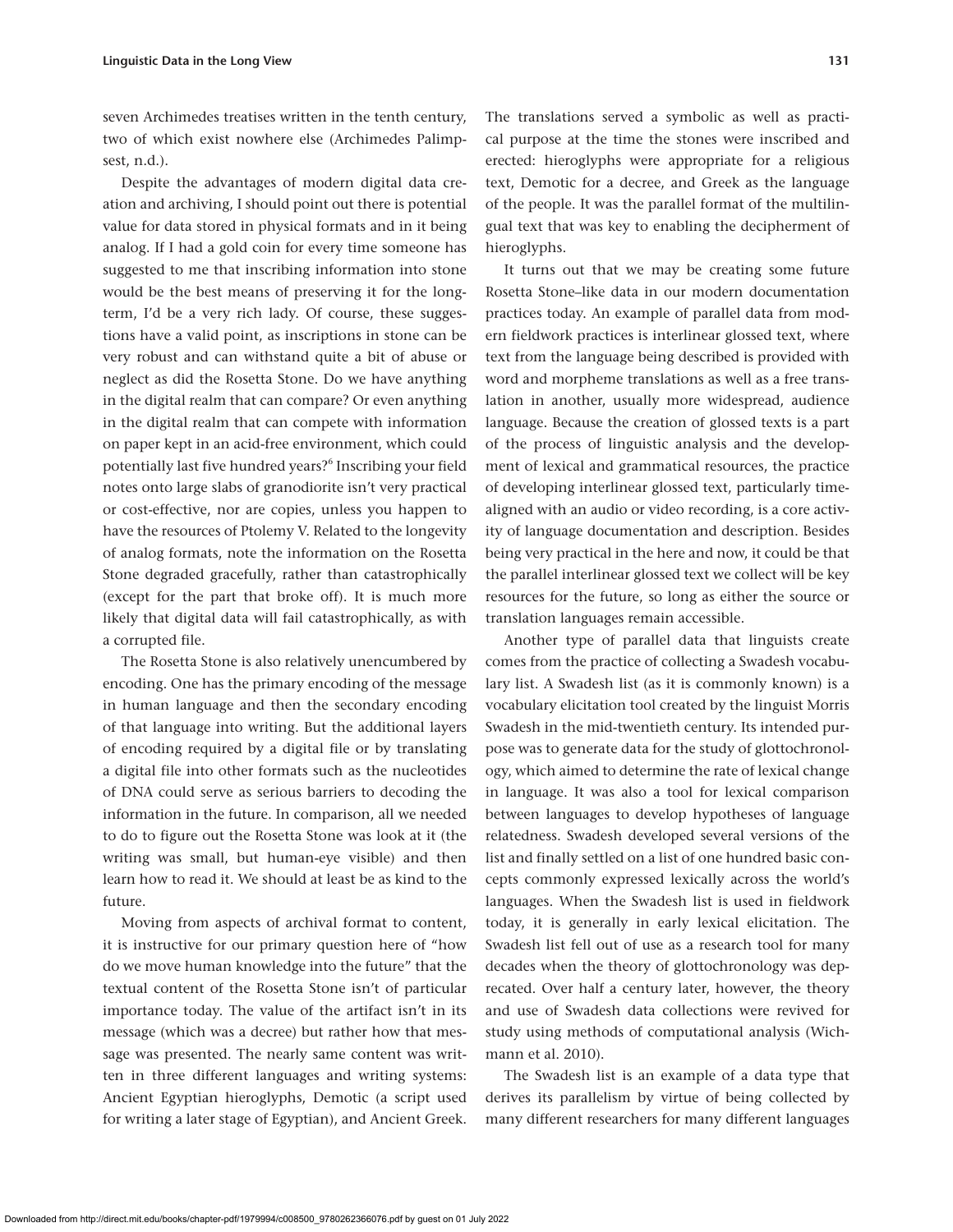seven Archimedes treatises written in the tenth century, two of which exist nowhere else (Archimedes Palimpsest, n.d.).

Despite the advantages of modern digital data creation and archiving, I should point out there is potential value for data stored in physical formats and in it being analog. If I had a gold coin for every time someone has suggested to me that inscribing information into stone would be the best means of preserving it for the longterm, I'd be a very rich lady. Of course, these suggestions have a valid point, as inscriptions in stone can be very robust and can withstand quite a bit of abuse or neglect as did the Rosetta Stone. Do we have anything in the digital realm that can compare? Or even anything in the digital realm that can compete with information on paper kept in an acid-free environment, which could potentially last five hundred years?<sup>6</sup> Inscribing your field notes onto large slabs of granodiorite isn't very practical or cost-effective, nor are copies, unless you happen to have the resources of Ptolemy V. Related to the longevity of analog formats, note the information on the Rosetta Stone degraded gracefully, rather than catastrophically (except for the part that broke off). It is much more likely that digital data will fail catastrophically, as with a corrupted file.

The Rosetta Stone is also relatively unencumbered by encoding. One has the primary encoding of the message in human language and then the secondary encoding of that language into writing. But the additional layers of encoding required by a digital file or by translating a digital file into other formats such as the nucleotides of DNA could serve as serious barriers to decoding the information in the future. In comparison, all we needed to do to figure out the Rosetta Stone was look at it (the writing was small, but human-eye visible) and then learn how to read it. We should at least be as kind to the future.

Moving from aspects of archival format to content, it is instructive for our primary question here of "how do we move human knowledge into the future" that the textual content of the Rosetta Stone isn't of particular importance today. The value of the artifact isn't in its message (which was a decree) but rather how that message was presented. The nearly same content was written in three different languages and writing systems: Ancient Egyptian hieroglyphs, Demotic (a script used for writing a later stage of Egyptian), and Ancient Greek.

The translations served a symbolic as well as practical purpose at the time the stones were inscribed and erected: hieroglyphs were appropriate for a religious text, Demotic for a decree, and Greek as the language of the people. It was the parallel format of the multilingual text that was key to enabling the decipherment of hieroglyphs.

It turns out that we may be creating some future Rosetta Stone–like data in our modern documentation practices today. An example of parallel data from modern fieldwork practices is interlinear glossed text, where text from the language being described is provided with word and morpheme translations as well as a free translation in another, usually more widespread, audience language. Because the creation of glossed texts is a part of the process of linguistic analysis and the development of lexical and grammatical resources, the practice of developing interlinear glossed text, particularly timealigned with an audio or video recording, is a core activity of language documentation and description. Besides being very practical in the here and now, it could be that the parallel interlinear glossed text we collect will be key resources for the future, so long as either the source or translation languages remain accessible.

Another type of parallel data that linguists create comes from the practice of collecting a Swadesh vocabulary list. A Swadesh list (as it is commonly known) is a vocabulary elicitation tool created by the linguist Morris Swadesh in the mid-twentieth century. Its intended purpose was to generate data for the study of glottochronology, which aimed to determine the rate of lexical change in language. It was also a tool for lexical comparison between languages to develop hypotheses of language relatedness. Swadesh developed several versions of the list and finally settled on a list of one hundred basic concepts commonly expressed lexically across the world's languages. When the Swadesh list is used in fieldwork today, it is generally in early lexical elicitation. The Swadesh list fell out of use as a research tool for many decades when the theory of glottochronology was deprecated. Over half a century later, however, the theory and use of Swadesh data collections were revived for study using methods of computational analysis (Wichmann et al. 2010).

The Swadesh list is an example of a data type that derives its parallelism by virtue of being collected by many different researchers for many different languages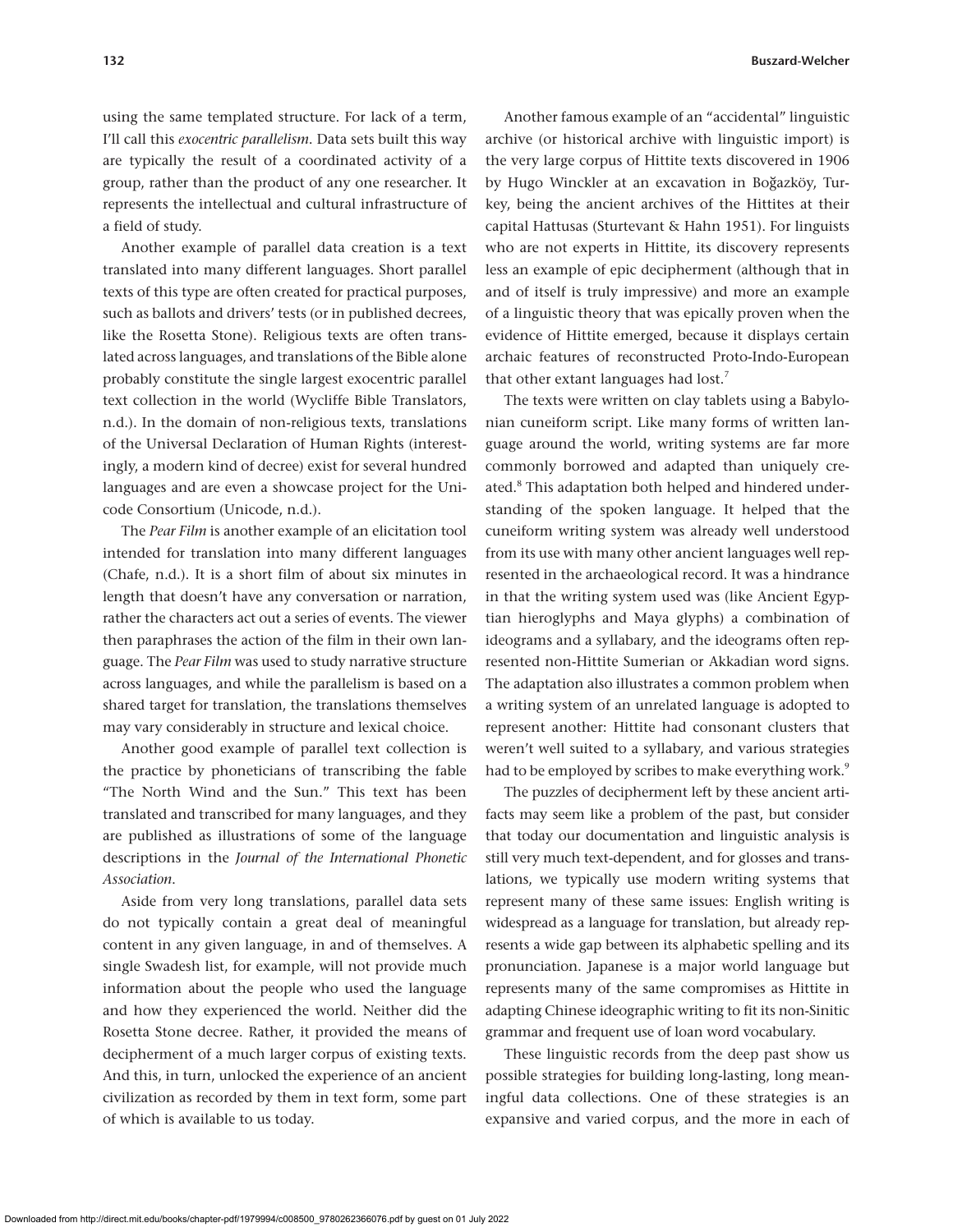using the same templated structure. For lack of a term, I'll call this *exocentric parallelism*. Data sets built this way are typically the result of a coordinated activity of a group, rather than the product of any one researcher. It represents the intellectual and cultural infrastructure of a field of study.

Another example of parallel data creation is a text translated into many different languages. Short parallel texts of this type are often created for practical purposes, such as ballots and drivers' tests (or in published decrees, like the Rosetta Stone). Religious texts are often translated across languages, and translations of the Bible alone probably constitute the single largest exocentric parallel text collection in the world (Wycliffe Bible Translators, n.d.). In the domain of non-religious texts, translations of the Universal Declaration of Human Rights (interestingly, a modern kind of decree) exist for several hundred languages and are even a showcase project for the Unicode Consortium (Unicode, n.d.).

The *Pear Film* is another example of an elicitation tool intended for translation into many different languages (Chafe, n.d.). It is a short film of about six minutes in length that doesn't have any conversation or narration, rather the characters act out a series of events. The viewer then paraphrases the action of the film in their own language. The *Pear Film* was used to study narrative structure across languages, and while the parallelism is based on a shared target for translation, the translations themselves may vary considerably in structure and lexical choice.

Another good example of parallel text collection is the practice by phoneticians of transcribing the fable "The North Wind and the Sun." This text has been translated and transcribed for many languages, and they are published as illustrations of some of the language descriptions in the *Journal of the International Phonetic Association*.

Aside from very long translations, parallel data sets do not typically contain a great deal of meaningful content in any given language, in and of themselves. A single Swadesh list, for example, will not provide much information about the people who used the language and how they experienced the world. Neither did the Rosetta Stone decree. Rather, it provided the means of decipherment of a much larger corpus of existing texts. And this, in turn, unlocked the experience of an ancient civilization as recorded by them in text form, some part of which is available to us today.

Another famous example of an "accidental" linguistic archive (or historical archive with linguistic import) is the very large corpus of Hittite texts discovered in 1906 by Hugo Winckler at an excavation in Boğazköy, Turkey, being the ancient archives of the Hittites at their capital Hattusas (Sturtevant & Hahn 1951). For linguists who are not experts in Hittite, its discovery represents less an example of epic decipherment (although that in and of itself is truly impressive) and more an example of a linguistic theory that was epically proven when the evidence of Hittite emerged, because it displays certain archaic features of reconstructed Proto-Indo-European that other extant languages had lost.<sup>7</sup>

The texts were written on clay tablets using a Babylonian cuneiform script. Like many forms of written language around the world, writing systems are far more commonly borrowed and adapted than uniquely created.<sup>8</sup> This adaptation both helped and hindered understanding of the spoken language. It helped that the cuneiform writing system was already well understood from its use with many other ancient languages well represented in the archaeological record. It was a hindrance in that the writing system used was (like Ancient Egyptian hieroglyphs and Maya glyphs) a combination of ideograms and a syllabary, and the ideograms often represented non-Hittite Sumerian or Akkadian word signs. The adaptation also illustrates a common problem when a writing system of an unrelated language is adopted to represent another: Hittite had consonant clusters that weren't well suited to a syllabary, and various strategies had to be employed by scribes to make everything work.<sup>9</sup>

The puzzles of decipherment left by these ancient artifacts may seem like a problem of the past, but consider that today our documentation and linguistic analysis is still very much text-dependent, and for glosses and translations, we typically use modern writing systems that represent many of these same issues: English writing is widespread as a language for translation, but already represents a wide gap between its alphabetic spelling and its pronunciation. Japanese is a major world language but represents many of the same compromises as Hittite in adapting Chinese ideographic writing to fit its non-Sinitic grammar and frequent use of loan word vocabulary.

These linguistic records from the deep past show us possible strategies for building long-lasting, long meaningful data collections. One of these strategies is an expansive and varied corpus, and the more in each of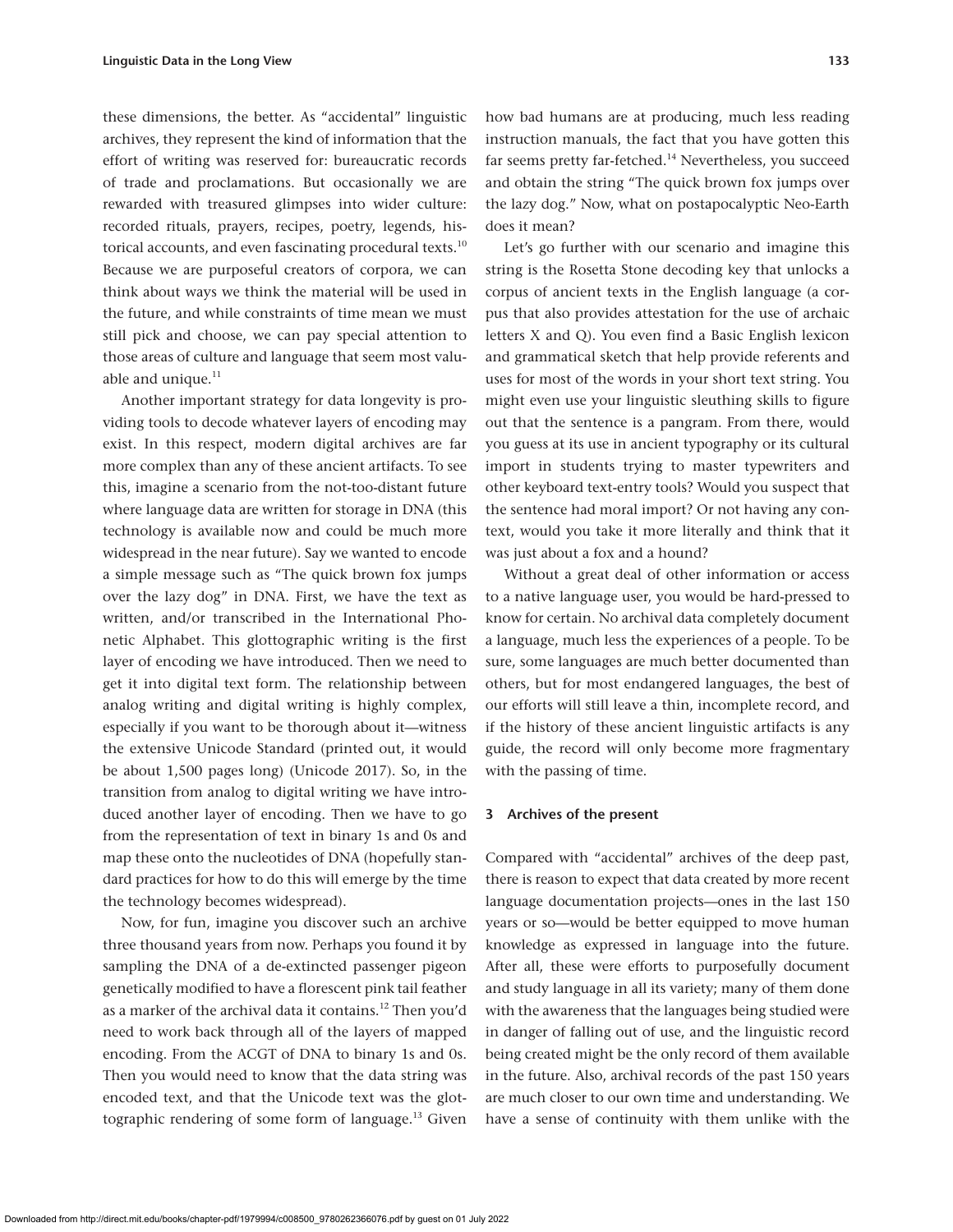these dimensions, the better. As "accidental" linguistic archives, they represent the kind of information that the effort of writing was reserved for: bureaucratic records of trade and proclamations. But occasionally we are rewarded with treasured glimpses into wider culture: recorded rituals, prayers, recipes, poetry, legends, historical accounts, and even fascinating procedural texts.<sup>10</sup> Because we are purposeful creators of corpora, we can think about ways we think the material will be used in the future, and while constraints of time mean we must still pick and choose, we can pay special attention to those areas of culture and language that seem most valuable and unique.<sup>11</sup>

Another important strategy for data longevity is providing tools to decode whatever layers of encoding may exist. In this respect, modern digital archives are far more complex than any of these ancient artifacts. To see this, imagine a scenario from the not-too-distant future where language data are written for storage in DNA (this technology is available now and could be much more widespread in the near future). Say we wanted to encode a simple message such as "The quick brown fox jumps over the lazy dog" in DNA. First, we have the text as written, and/or transcribed in the International Phonetic Alphabet. This glottographic writing is the first layer of encoding we have introduced. Then we need to get it into digital text form. The relationship between analog writing and digital writing is highly complex, especially if you want to be thorough about it—witness the extensive Unicode Standard (printed out, it would be about 1,500 pages long) (Unicode 2017). So, in the transition from analog to digital writing we have introduced another layer of encoding. Then we have to go from the representation of text in binary 1s and 0s and map these onto the nucleotides of DNA (hopefully standard practices for how to do this will emerge by the time the technology becomes widespread).

Now, for fun, imagine you discover such an archive three thousand years from now. Perhaps you found it by sampling the DNA of a de-extincted passenger pigeon genetically modified to have a florescent pink tail feather as a marker of the archival data it contains.12 Then you'd need to work back through all of the layers of mapped encoding. From the ACGT of DNA to binary 1s and 0s. Then you would need to know that the data string was encoded text, and that the Unicode text was the glottographic rendering of some form of language. $^{13}$  Given

how bad humans are at producing, much less reading instruction manuals, the fact that you have gotten this far seems pretty far-fetched.<sup>14</sup> Nevertheless, you succeed and obtain the string "The quick brown fox jumps over the lazy dog." Now, what on postapocalyptic Neo-Earth does it mean?

Let's go further with our scenario and imagine this string is the Rosetta Stone decoding key that unlocks a corpus of ancient texts in the English language (a corpus that also provides attestation for the use of archaic letters X and Q). You even find a Basic English lexicon and grammatical sketch that help provide referents and uses for most of the words in your short text string. You might even use your linguistic sleuthing skills to figure out that the sentence is a pangram. From there, would you guess at its use in ancient typography or its cultural import in students trying to master typewriters and other keyboard text-entry tools? Would you suspect that the sentence had moral import? Or not having any context, would you take it more literally and think that it was just about a fox and a hound?

Without a great deal of other information or access to a native language user, you would be hard-pressed to know for certain. No archival data completely document a language, much less the experiences of a people. To be sure, some languages are much better documented than others, but for most endangered languages, the best of our efforts will still leave a thin, incomplete record, and if the history of these ancient linguistic artifacts is any guide, the record will only become more fragmentary with the passing of time.

#### **3 Archives of the present**

Compared with "accidental" archives of the deep past, there is reason to expect that data created by more recent language documentation projects—ones in the last 150 years or so—would be better equipped to move human knowledge as expressed in language into the future. After all, these were efforts to purposefully document and study language in all its variety; many of them done with the awareness that the languages being studied were in danger of falling out of use, and the linguistic record being created might be the only record of them available in the future. Also, archival records of the past 150 years are much closer to our own time and understanding. We have a sense of continuity with them unlike with the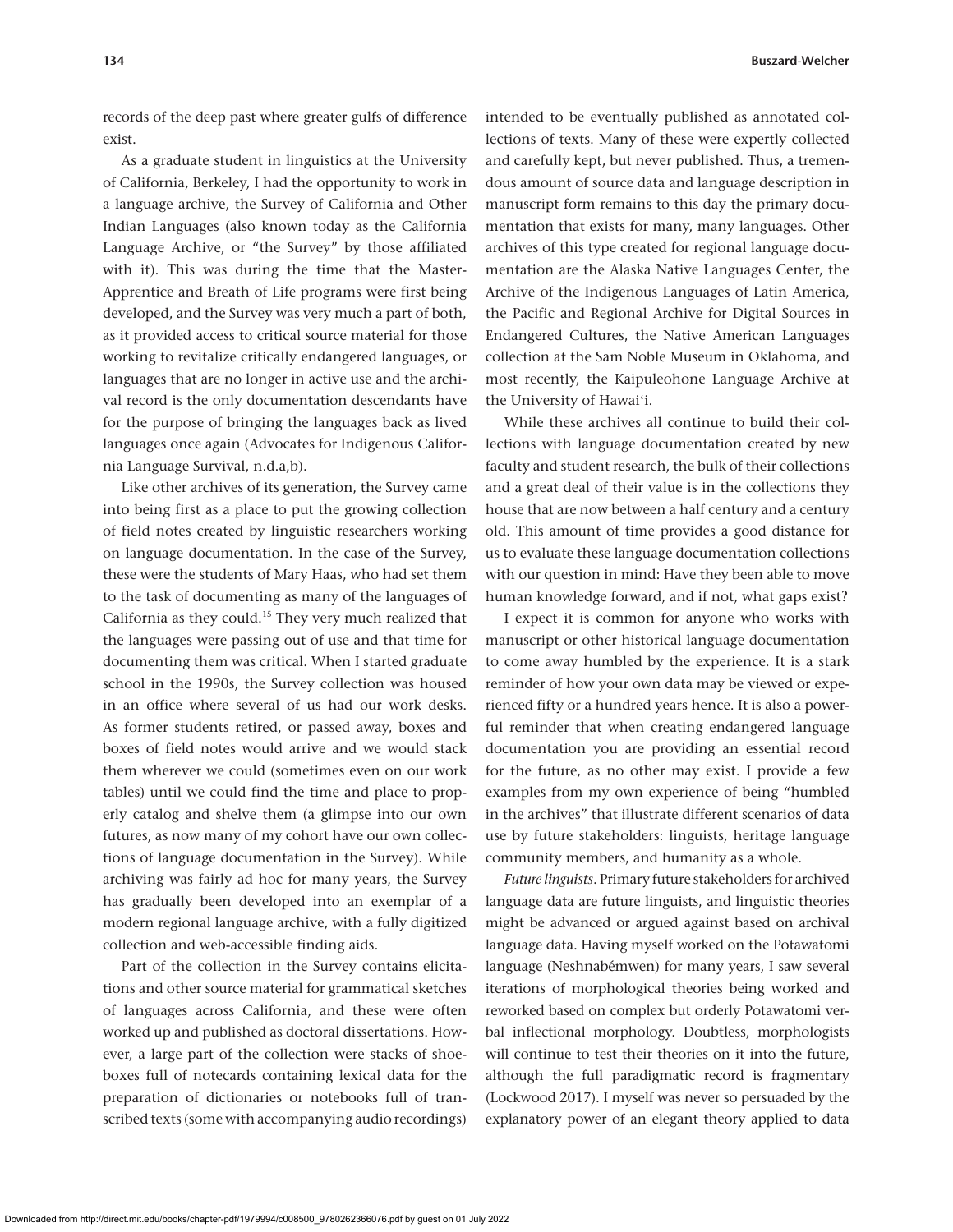**134 Buszard-Welcher**

records of the deep past where greater gulfs of difference exist.

As a graduate student in linguistics at the University of California, Berkeley, I had the opportunity to work in a language archive, the Survey of California and Other Indian Languages (also known today as the California Language Archive, or "the Survey" by those affiliated with it). This was during the time that the Master-Apprentice and Breath of Life programs were first being developed, and the Survey was very much a part of both, as it provided access to critical source material for those working to revitalize critically endangered languages, or languages that are no longer in active use and the archival record is the only documentation descendants have for the purpose of bringing the languages back as lived languages once again (Advocates for Indigenous California Language Survival, n.d.a,b).

Like other archives of its generation, the Survey came into being first as a place to put the growing collection of field notes created by linguistic researchers working on language documentation. In the case of the Survey, these were the students of Mary Haas, who had set them to the task of documenting as many of the languages of California as they could.15 They very much realized that the languages were passing out of use and that time for documenting them was critical. When I started graduate school in the 1990s, the Survey collection was housed in an office where several of us had our work desks. As former students retired, or passed away, boxes and boxes of field notes would arrive and we would stack them wherever we could (sometimes even on our work tables) until we could find the time and place to properly catalog and shelve them (a glimpse into our own futures, as now many of my cohort have our own collections of language documentation in the Survey). While archiving was fairly ad hoc for many years, the Survey has gradually been developed into an exemplar of a modern regional language archive, with a fully digitized collection and web-accessible finding aids.

Part of the collection in the Survey contains elicitations and other source material for grammatical sketches of languages across California, and these were often worked up and published as doctoral dissertations. However, a large part of the collection were stacks of shoeboxes full of notecards containing lexical data for the preparation of dictionaries or notebooks full of transcribed texts (some with accompanying audio recordings)

intended to be eventually published as annotated collections of texts. Many of these were expertly collected and carefully kept, but never published. Thus, a tremendous amount of source data and language description in manuscript form remains to this day the primary documentation that exists for many, many languages. Other archives of this type created for regional language documentation are the Alaska Native Languages Center, the Archive of the Indigenous Languages of Latin America, the Pacific and Regional Archive for Digital Sources in Endangered Cultures, the Native American Languages collection at the Sam Noble Museum in Oklahoma, and most recently, the Kaipuleohone Language Archive at the University of Hawaiʻi.

While these archives all continue to build their collections with language documentation created by new faculty and student research, the bulk of their collections and a great deal of their value is in the collections they house that are now between a half century and a century old. This amount of time provides a good distance for us to evaluate these language documentation collections with our question in mind: Have they been able to move human knowledge forward, and if not, what gaps exist?

I expect it is common for anyone who works with manuscript or other historical language documentation to come away humbled by the experience. It is a stark reminder of how your own data may be viewed or experienced fifty or a hundred years hence. It is also a powerful reminder that when creating endangered language documentation you are providing an essential record for the future, as no other may exist. I provide a few examples from my own experience of being "humbled in the archives" that illustrate different scenarios of data use by future stakeholders: linguists, heritage language community members, and humanity as a whole.

*Future linguists*. Primary future stakeholders for archived language data are future linguists, and linguistic theories might be advanced or argued against based on archival language data. Having myself worked on the Potawatomi language (Neshnabémwen) for many years, I saw several iterations of morphological theories being worked and reworked based on complex but orderly Potawatomi verbal inflectional morphology. Doubtless, morphologists will continue to test their theories on it into the future, although the full paradigmatic record is fragmentary (Lockwood 2017). I myself was never so persuaded by the explanatory power of an elegant theory applied to data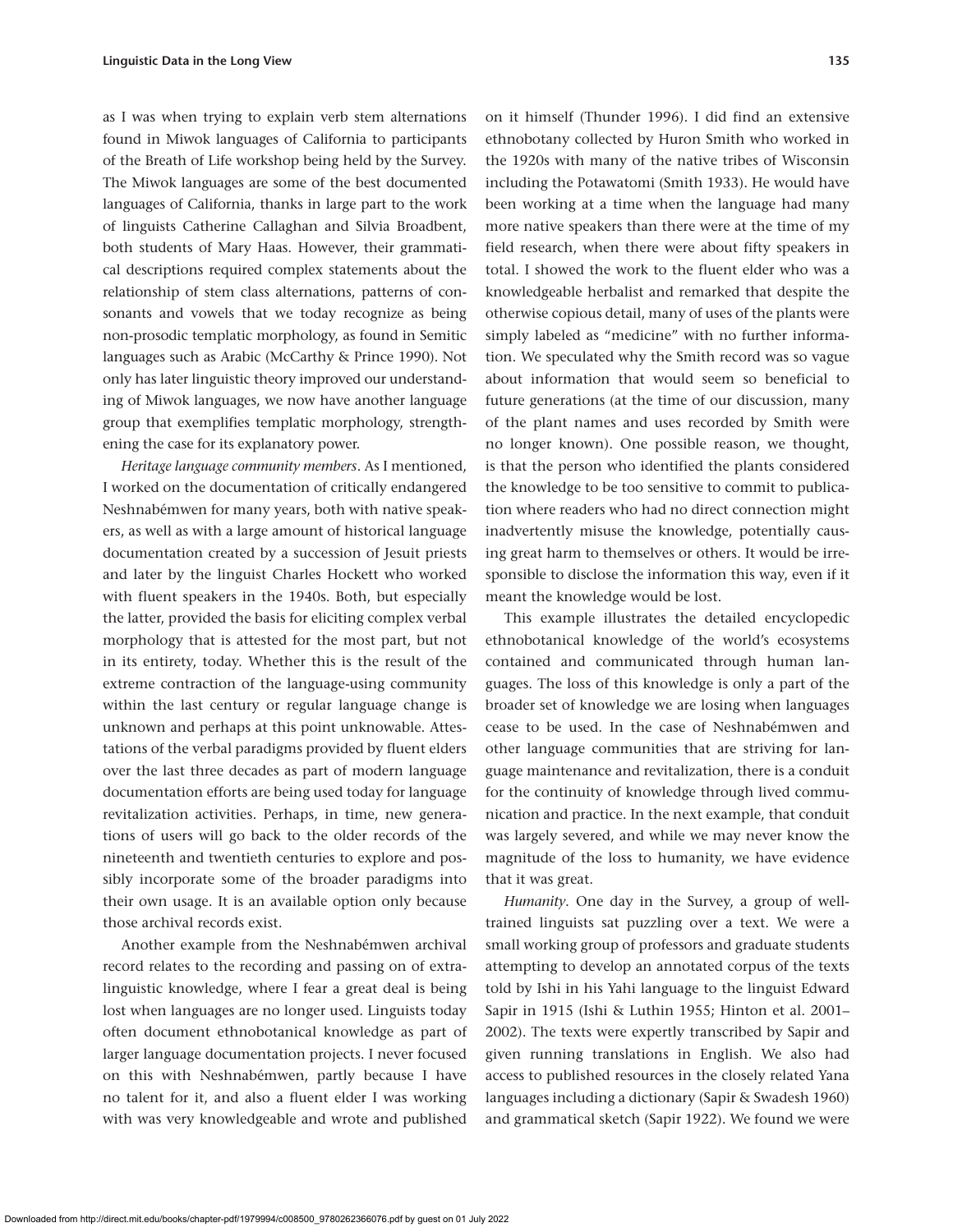as I was when trying to explain verb stem alternations found in Miwok languages of California to participants of the Breath of Life workshop being held by the Survey. The Miwok languages are some of the best documented languages of California, thanks in large part to the work of linguists Catherine Callaghan and Silvia Broadbent, both students of Mary Haas. However, their grammatical descriptions required complex statements about the relationship of stem class alternations, patterns of consonants and vowels that we today recognize as being non-prosodic templatic morphology, as found in Semitic languages such as Arabic (McCarthy & Prince 1990). Not only has later linguistic theory improved our understanding of Miwok languages, we now have another language group that exemplifies templatic morphology, strengthening the case for its explanatory power.

*Heritage language community members*. As I mentioned, I worked on the documentation of critically endangered Neshnabémwen for many years, both with native speakers, as well as with a large amount of historical language documentation created by a succession of Jesuit priests and later by the linguist Charles Hockett who worked with fluent speakers in the 1940s. Both, but especially the latter, provided the basis for eliciting complex verbal morphology that is attested for the most part, but not in its entirety, today. Whether this is the result of the extreme contraction of the language-using community within the last century or regular language change is unknown and perhaps at this point unknowable. Attestations of the verbal paradigms provided by fluent elders over the last three decades as part of modern language documentation efforts are being used today for language revitalization activities. Perhaps, in time, new generations of users will go back to the older records of the nineteenth and twentieth centuries to explore and possibly incorporate some of the broader paradigms into their own usage. It is an available option only because those archival records exist.

Another example from the Neshnabémwen archival record relates to the recording and passing on of extralinguistic knowledge, where I fear a great deal is being lost when languages are no longer used. Linguists today often document ethnobotanical knowledge as part of larger language documentation projects. I never focused on this with Neshnabémwen, partly because I have no talent for it, and also a fluent elder I was working with was very knowledgeable and wrote and published

on it himself (Thunder 1996). I did find an extensive ethnobotany collected by Huron Smith who worked in the 1920s with many of the native tribes of Wisconsin including the Potawatomi (Smith 1933). He would have been working at a time when the language had many more native speakers than there were at the time of my field research, when there were about fifty speakers in total. I showed the work to the fluent elder who was a knowledgeable herbalist and remarked that despite the otherwise copious detail, many of uses of the plants were simply labeled as "medicine" with no further information. We speculated why the Smith record was so vague about information that would seem so beneficial to future generations (at the time of our discussion, many of the plant names and uses recorded by Smith were no longer known). One possible reason, we thought, is that the person who identified the plants considered the knowledge to be too sensitive to commit to publication where readers who had no direct connection might inadvertently misuse the knowledge, potentially causing great harm to themselves or others. It would be irresponsible to disclose the information this way, even if it meant the knowledge would be lost.

This example illustrates the detailed encyclopedic ethnobotanical knowledge of the world's ecosystems contained and communicated through human languages. The loss of this knowledge is only a part of the broader set of knowledge we are losing when languages cease to be used. In the case of Neshnabémwen and other language communities that are striving for language maintenance and revitalization, there is a conduit for the continuity of knowledge through lived communication and practice. In the next example, that conduit was largely severed, and while we may never know the magnitude of the loss to humanity, we have evidence that it was great.

*Humanity*. One day in the Survey, a group of welltrained linguists sat puzzling over a text. We were a small working group of professors and graduate students attempting to develop an annotated corpus of the texts told by Ishi in his Yahi language to the linguist Edward Sapir in 1915 (Ishi & Luthin 1955; Hinton et al. 2001– 2002). The texts were expertly transcribed by Sapir and given running translations in English. We also had access to published resources in the closely related Yana languages including a dictionary (Sapir & Swadesh 1960) and grammatical sketch (Sapir 1922). We found we were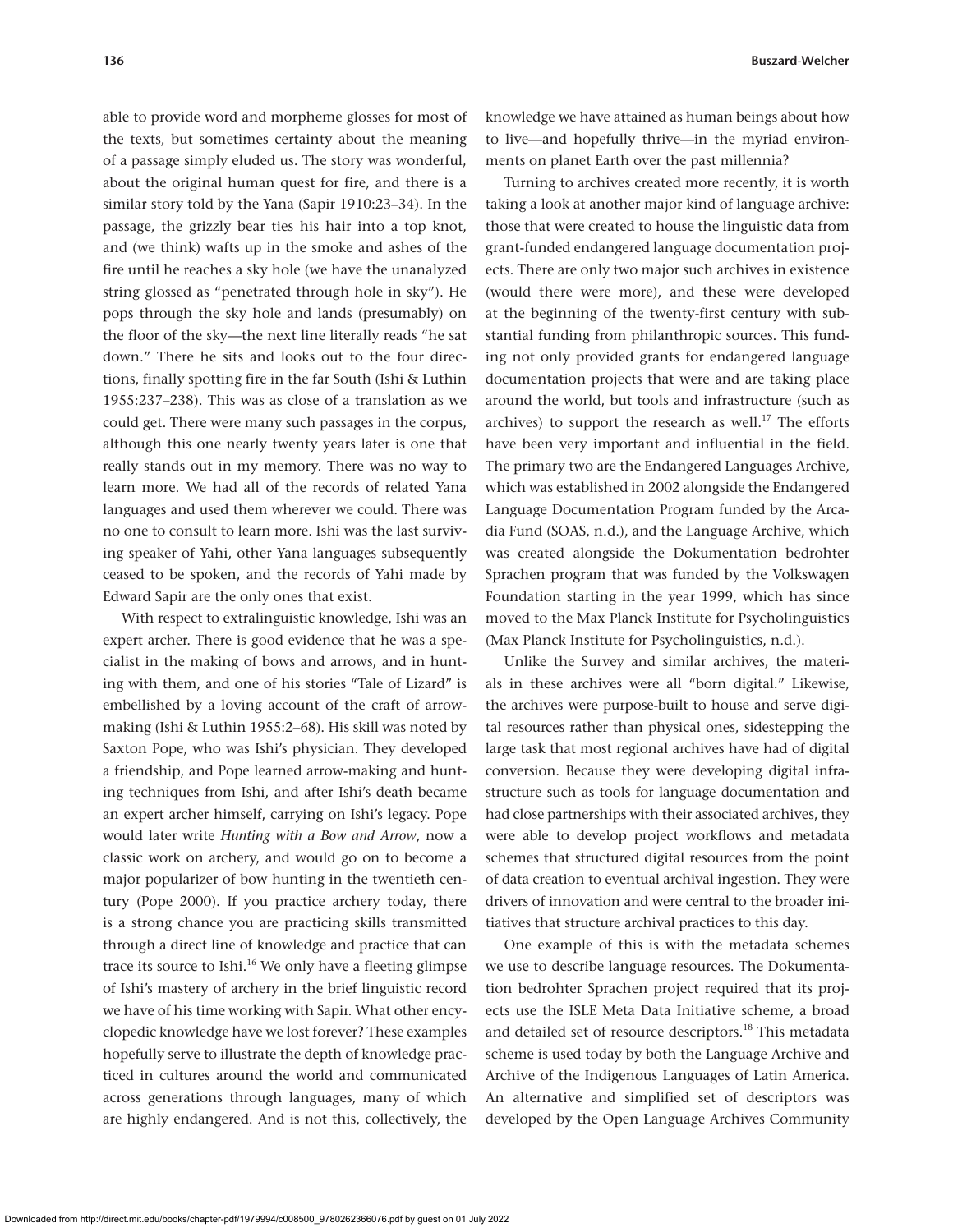able to provide word and morpheme glosses for most of the texts, but sometimes certainty about the meaning of a passage simply eluded us. The story was wonderful, about the original human quest for fire, and there is a similar story told by the Yana (Sapir 1910:23–34). In the passage, the grizzly bear ties his hair into a top knot, and (we think) wafts up in the smoke and ashes of the fire until he reaches a sky hole (we have the unanalyzed string glossed as "penetrated through hole in sky"). He pops through the sky hole and lands (presumably) on the floor of the sky—the next line literally reads "he sat down." There he sits and looks out to the four directions, finally spotting fire in the far South (Ishi & Luthin 1955:237–238). This was as close of a translation as we could get. There were many such passages in the corpus, although this one nearly twenty years later is one that really stands out in my memory. There was no way to learn more. We had all of the records of related Yana languages and used them wherever we could. There was no one to consult to learn more. Ishi was the last surviving speaker of Yahi, other Yana languages subsequently ceased to be spoken, and the records of Yahi made by Edward Sapir are the only ones that exist.

With respect to extralinguistic knowledge, Ishi was an expert archer. There is good evidence that he was a specialist in the making of bows and arrows, and in hunting with them, and one of his stories "Tale of Lizard" is embellished by a loving account of the craft of arrowmaking (Ishi & Luthin 1955:2–68). His skill was noted by Saxton Pope, who was Ishi's physician. They developed a friendship, and Pope learned arrow-making and hunting techniques from Ishi, and after Ishi's death became an expert archer himself, carrying on Ishi's legacy. Pope would later write *Hunting with a Bow and Arrow*, now a classic work on archery, and would go on to become a major popularizer of bow hunting in the twentieth century (Pope 2000). If you practice archery today, there is a strong chance you are practicing skills transmitted through a direct line of knowledge and practice that can trace its source to Ishi.<sup>16</sup> We only have a fleeting glimpse of Ishi's mastery of archery in the brief linguistic record we have of his time working with Sapir. What other encyclopedic knowledge have we lost forever? These examples hopefully serve to illustrate the depth of knowledge practiced in cultures around the world and communicated across generations through languages, many of which are highly endangered. And is not this, collectively, the

knowledge we have attained as human beings about how to live—and hopefully thrive—in the myriad environments on planet Earth over the past millennia?

Turning to archives created more recently, it is worth taking a look at another major kind of language archive: those that were created to house the linguistic data from grant-funded endangered language documentation projects. There are only two major such archives in existence (would there were more), and these were developed at the beginning of the twenty-first century with substantial funding from philanthropic sources. This funding not only provided grants for endangered language documentation projects that were and are taking place around the world, but tools and infrastructure (such as archives) to support the research as well.<sup>17</sup> The efforts have been very important and influential in the field. The primary two are the Endangered Languages Archive, which was established in 2002 alongside the Endangered Language Documentation Program funded by the Arcadia Fund (SOAS, n.d.), and the Language Archive, which was created alongside the Dokumentation bedrohter Sprachen program that was funded by the Volkswagen Foundation starting in the year 1999, which has since moved to the Max Planck Institute for Psycholinguistics (Max Planck Institute for Psycholinguistics, n.d.).

Unlike the Survey and similar archives, the materials in these archives were all "born digital." Likewise, the archives were purpose-built to house and serve digital resources rather than physical ones, sidestepping the large task that most regional archives have had of digital conversion. Because they were developing digital infrastructure such as tools for language documentation and had close partnerships with their associated archives, they were able to develop project workflows and metadata schemes that structured digital resources from the point of data creation to eventual archival ingestion. They were drivers of innovation and were central to the broader initiatives that structure archival practices to this day.

One example of this is with the metadata schemes we use to describe language resources. The Dokumentation bedrohter Sprachen project required that its projects use the ISLE Meta Data Initiative scheme, a broad and detailed set of resource descriptors.<sup>18</sup> This metadata scheme is used today by both the Language Archive and Archive of the Indigenous Languages of Latin America. An alternative and simplified set of descriptors was developed by the Open Language Archives Community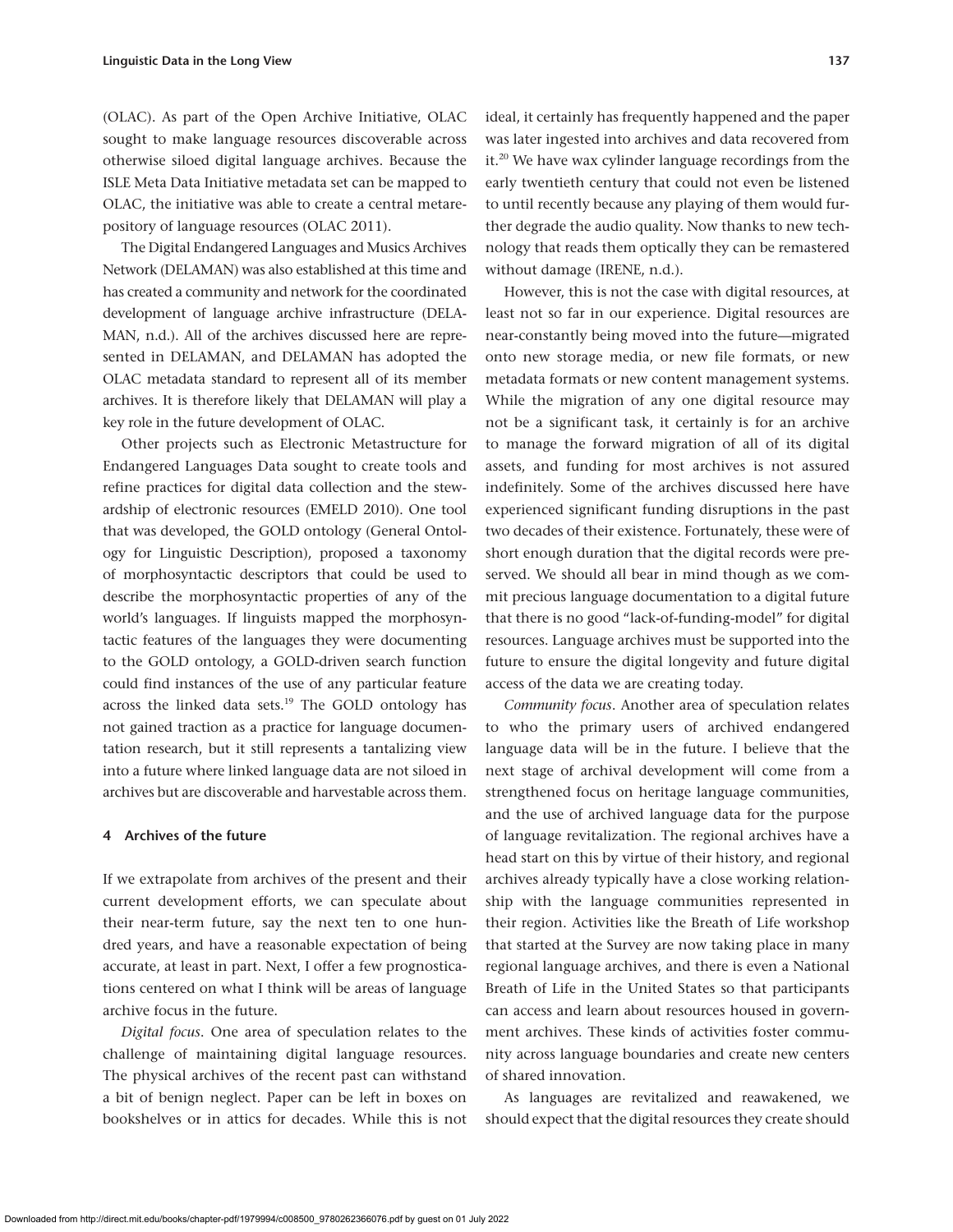(OLAC). As part of the Open Archive Initiative, OLAC sought to make language resources discoverable across otherwise siloed digital language archives. Because the ISLE Meta Data Initiative metadata set can be mapped to OLAC, the initiative was able to create a central metarepository of language resources (OLAC 2011).

The Digital Endangered Languages and Musics Archives Network (DELAMAN) was also established at this time and has created a community and network for the coordinated development of language archive infrastructure (DELA-MAN, n.d.). All of the archives discussed here are represented in DELAMAN, and DELAMAN has adopted the OLAC metadata standard to represent all of its member archives. It is therefore likely that DELAMAN will play a key role in the future development of OLAC.

Other projects such as Electronic Metastructure for Endangered Languages Data sought to create tools and refine practices for digital data collection and the stewardship of electronic resources (EMELD 2010). One tool that was developed, the GOLD ontology (General Ontology for Linguistic Description), proposed a taxonomy of morphosyntactic descriptors that could be used to describe the morphosyntactic properties of any of the world's languages. If linguists mapped the morphosyntactic features of the languages they were documenting to the GOLD ontology, a GOLD-driven search function could find instances of the use of any particular feature across the linked data sets. $19$  The GOLD ontology has not gained traction as a practice for language documentation research, but it still represents a tantalizing view into a future where linked language data are not siloed in archives but are discoverable and harvestable across them.

#### **4 Archives of the future**

If we extrapolate from archives of the present and their current development efforts, we can speculate about their near-term future, say the next ten to one hundred years, and have a reasonable expectation of being accurate, at least in part. Next, I offer a few prognostications centered on what I think will be areas of language archive focus in the future.

*Digital focus*. One area of speculation relates to the challenge of maintaining digital language resources. The physical archives of the recent past can withstand a bit of benign neglect. Paper can be left in boxes on bookshelves or in attics for decades. While this is not

ideal, it certainly has frequently happened and the paper was later ingested into archives and data recovered from it.<sup>20</sup> We have wax cylinder language recordings from the early twentieth century that could not even be listened to until recently because any playing of them would further degrade the audio quality. Now thanks to new technology that reads them optically they can be remastered without damage (IRENE, n.d.).

However, this is not the case with digital resources, at least not so far in our experience. Digital resources are near-constantly being moved into the future—migrated onto new storage media, or new file formats, or new metadata formats or new content management systems. While the migration of any one digital resource may not be a significant task, it certainly is for an archive to manage the forward migration of all of its digital assets, and funding for most archives is not assured indefinitely. Some of the archives discussed here have experienced significant funding disruptions in the past two decades of their existence. Fortunately, these were of short enough duration that the digital records were preserved. We should all bear in mind though as we commit precious language documentation to a digital future that there is no good "lack-of-funding-model" for digital resources. Language archives must be supported into the future to ensure the digital longevity and future digital access of the data we are creating today.

*Community focus*. Another area of speculation relates to who the primary users of archived endangered language data will be in the future. I believe that the next stage of archival development will come from a strengthened focus on heritage language communities, and the use of archived language data for the purpose of language revitalization. The regional archives have a head start on this by virtue of their history, and regional archives already typically have a close working relationship with the language communities represented in their region. Activities like the Breath of Life workshop that started at the Survey are now taking place in many regional language archives, and there is even a National Breath of Life in the United States so that participants can access and learn about resources housed in government archives. These kinds of activities foster community across language boundaries and create new centers of shared innovation.

As languages are revitalized and reawakened, we should expect that the digital resources they create should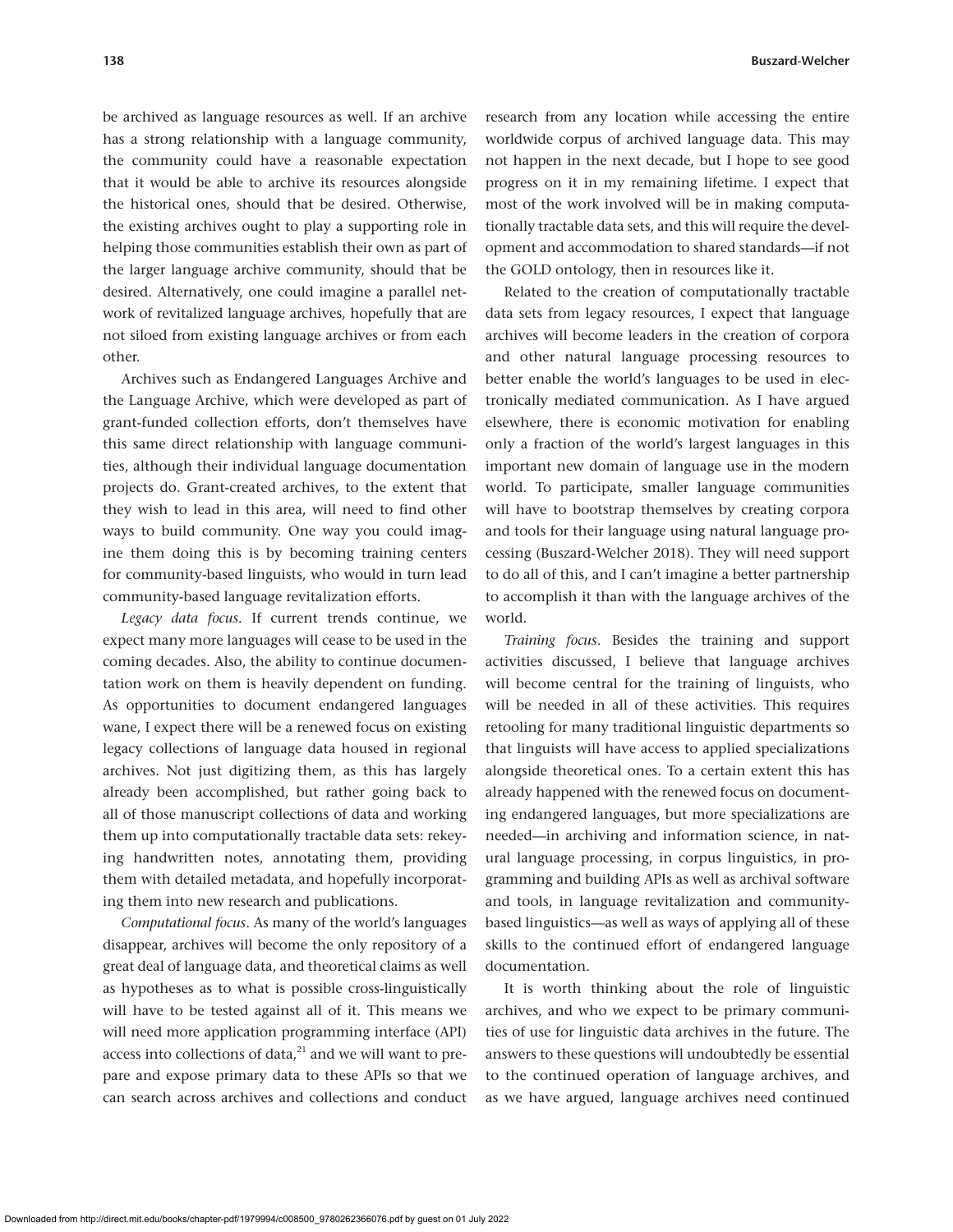be archived as language resources as well. If an archive has a strong relationship with a language community, the community could have a reasonable expectation that it would be able to archive its resources alongside the historical ones, should that be desired. Otherwise, the existing archives ought to play a supporting role in helping those communities establish their own as part of the larger language archive community, should that be desired. Alternatively, one could imagine a parallel network of revitalized language archives, hopefully that are not siloed from existing language archives or from each other.

Archives such as Endangered Languages Archive and the Language Archive, which were developed as part of grant-funded collection efforts, don't themselves have this same direct relationship with language communities, although their individual language documentation projects do. Grant-created archives, to the extent that they wish to lead in this area, will need to find other ways to build community. One way you could imagine them doing this is by becoming training centers for community-based linguists, who would in turn lead community-based language revitalization efforts.

*Legacy data focus.* If current trends continue, we expect many more languages will cease to be used in the coming decades. Also, the ability to continue documentation work on them is heavily dependent on funding. As opportunities to document endangered languages wane, I expect there will be a renewed focus on existing legacy collections of language data housed in regional archives. Not just digitizing them, as this has largely already been accomplished, but rather going back to all of those manuscript collections of data and working them up into computationally tractable data sets: rekeying handwritten notes, annotating them, providing them with detailed metadata, and hopefully incorporating them into new research and publications.

*Computational focus*. As many of the world's languages disappear, archives will become the only repository of a great deal of language data, and theoretical claims as well as hypotheses as to what is possible cross-linguistically will have to be tested against all of it. This means we will need more application programming interface (API) access into collections of data, $^{21}$  and we will want to prepare and expose primary data to these APIs so that we can search across archives and collections and conduct research from any location while accessing the entire worldwide corpus of archived language data. This may not happen in the next decade, but I hope to see good progress on it in my remaining lifetime. I expect that most of the work involved will be in making computationally tractable data sets, and this will require the development and accommodation to shared standards—if not the GOLD ontology, then in resources like it.

Related to the creation of computationally tractable data sets from legacy resources, I expect that language archives will become leaders in the creation of corpora and other natural language processing resources to better enable the world's languages to be used in electronically mediated communication. As I have argued elsewhere, there is economic motivation for enabling only a fraction of the world's largest languages in this important new domain of language use in the modern world. To participate, smaller language communities will have to bootstrap themselves by creating corpora and tools for their language using natural language processing (Buszard-Welcher 2018). They will need support to do all of this, and I can't imagine a better partnership to accomplish it than with the language archives of the world.

*Training focus*. Besides the training and support activities discussed, I believe that language archives will become central for the training of linguists, who will be needed in all of these activities. This requires retooling for many traditional linguistic departments so that linguists will have access to applied specializations alongside theoretical ones. To a certain extent this has already happened with the renewed focus on documenting endangered languages, but more specializations are needed—in archiving and information science, in natural language processing, in corpus linguistics, in programming and building APIs as well as archival software and tools, in language revitalization and communitybased linguistics—as well as ways of applying all of these skills to the continued effort of endangered language documentation.

It is worth thinking about the role of linguistic archives, and who we expect to be primary communities of use for linguistic data archives in the future. The answers to these questions will undoubtedly be essential to the continued operation of language archives, and as we have argued, language archives need continued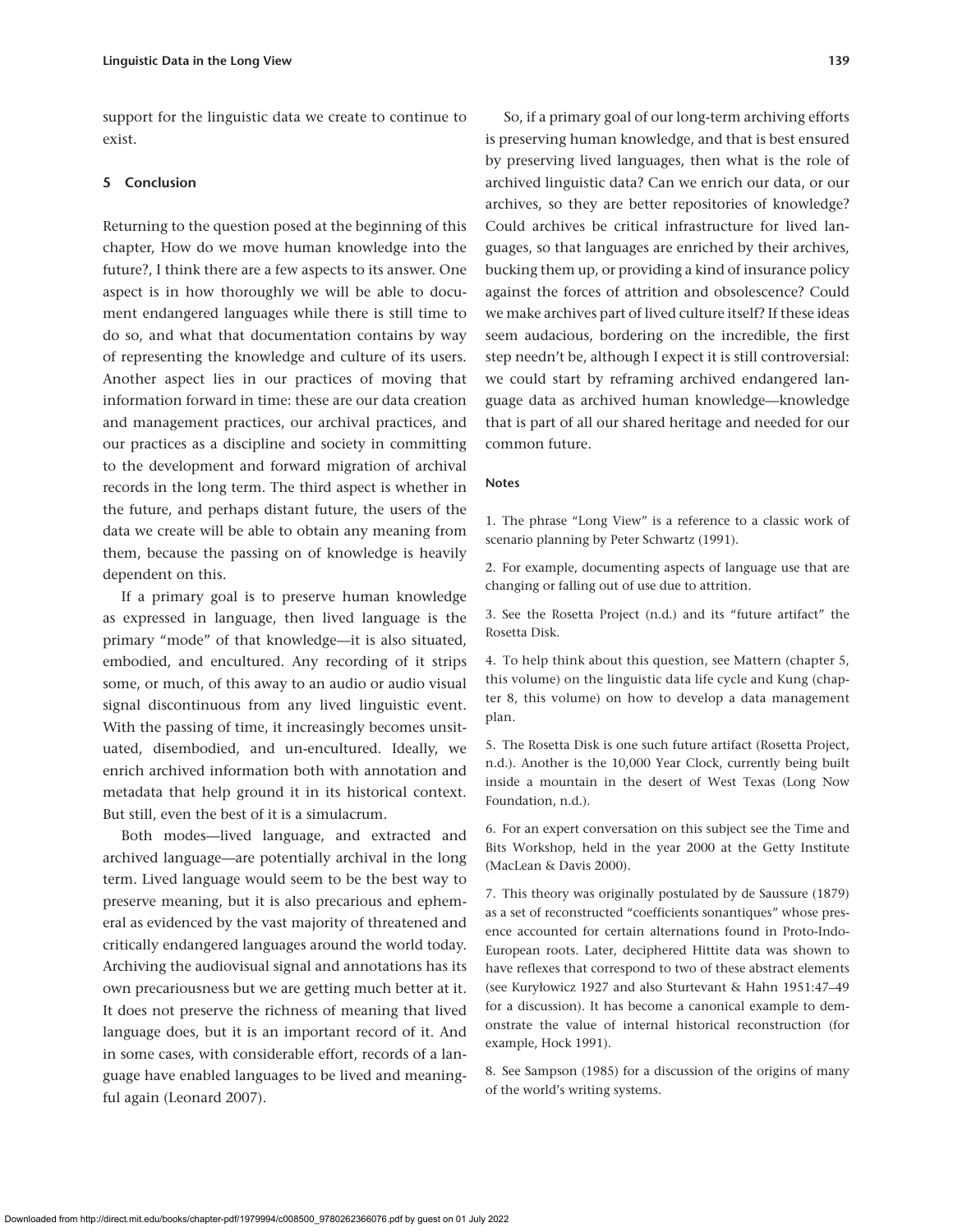support for the linguistic data we create to continue to exist.

#### **5 Conclusion**

Returning to the question posed at the beginning of this chapter, How do we move human knowledge into the future?, I think there are a few aspects to its answer. One aspect is in how thoroughly we will be able to document endangered languages while there is still time to do so, and what that documentation contains by way of representing the knowledge and culture of its users. Another aspect lies in our practices of moving that information forward in time: these are our data creation and management practices, our archival practices, and our practices as a discipline and society in committing to the development and forward migration of archival records in the long term. The third aspect is whether in the future, and perhaps distant future, the users of the data we create will be able to obtain any meaning from them, because the passing on of knowledge is heavily dependent on this.

If a primary goal is to preserve human knowledge as expressed in language, then lived language is the primary "mode" of that knowledge—it is also situated, embodied, and encultured. Any recording of it strips some, or much, of this away to an audio or audio visual signal discontinuous from any lived linguistic event. With the passing of time, it increasingly becomes unsituated, disembodied, and un-encultured. Ideally, we enrich archived information both with annotation and metadata that help ground it in its historical context. But still, even the best of it is a simulacrum.

Both modes—lived language, and extracted and archived language—are potentially archival in the long term. Lived language would seem to be the best way to preserve meaning, but it is also precarious and ephemeral as evidenced by the vast majority of threatened and critically endangered languages around the world today. Archiving the audiovisual signal and annotations has its own precariousness but we are getting much better at it. It does not preserve the richness of meaning that lived language does, but it is an important record of it. And in some cases, with considerable effort, records of a language have enabled languages to be lived and meaningful again (Leonard 2007).

So, if a primary goal of our long-term archiving efforts is preserving human knowledge, and that is best ensured by preserving lived languages, then what is the role of archived linguistic data? Can we enrich our data, or our archives, so they are better repositories of knowledge? Could archives be critical infrastructure for lived languages, so that languages are enriched by their archives, bucking them up, or providing a kind of insurance policy against the forces of attrition and obsolescence? Could we make archives part of lived culture itself? If these ideas seem audacious, bordering on the incredible, the first step needn't be, although I expect it is still controversial: we could start by reframing archived endangered language data as archived human knowledge—knowledge that is part of all our shared heritage and needed for our

#### **Notes**

common future.

1. The phrase "Long View" is a reference to a classic work of scenario planning by Peter Schwartz (1991).

2. For example, documenting aspects of language use that are changing or falling out of use due to attrition.

3. See the Rosetta Project (n.d.) and its "future artifact" the Rosetta Disk.

4. To help think about this question, see Mattern (chapter 5, this volume) on the linguistic data life cycle and Kung (chapter 8, this volume) on how to develop a data management plan.

5. The Rosetta Disk is one such future artifact (Rosetta Project, n.d.). Another is the 10,000 Year Clock, currently being built inside a mountain in the desert of West Texas (Long Now Foundation, n.d.).

6. For an expert conversation on this subject see the Time and Bits Workshop, held in the year 2000 at the Getty Institute (MacLean & Davis 2000).

7. This theory was originally postulated by de Saussure (1879) as a set of reconstructed "coefficients sonantiques" whose presence accounted for certain alternations found in Proto-Indo-European roots. Later, deciphered Hittite data was shown to have reflexes that correspond to two of these abstract elements (see Kuryłowicz 1927 and also Sturtevant & Hahn 1951:47–49 for a discussion). It has become a canonical example to demonstrate the value of internal historical reconstruction (for example, Hock 1991).

8. See Sampson (1985) for a discussion of the origins of many of the world's writing systems.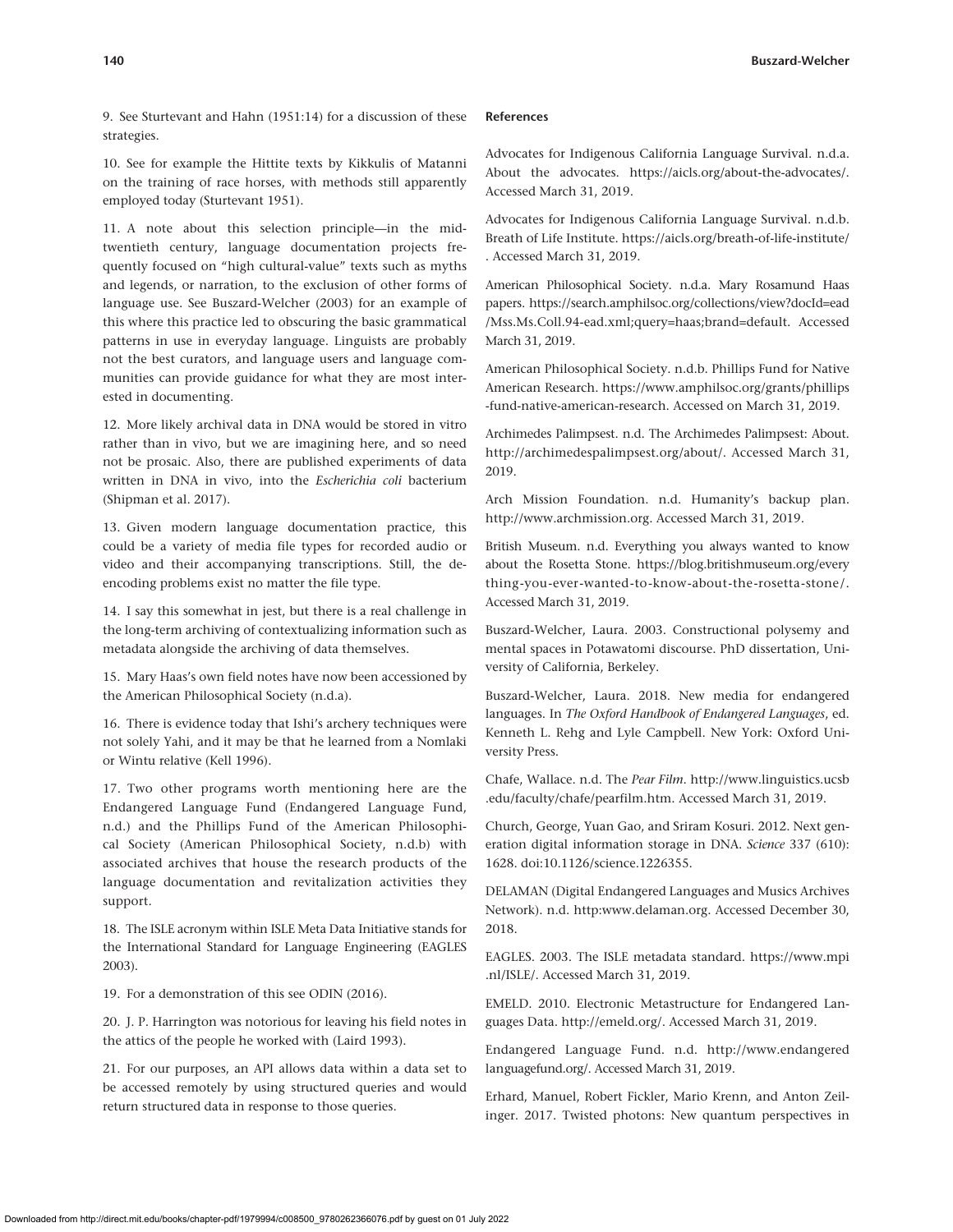9. See Sturtevant and Hahn (1951:14) for a discussion of these strategies.

10. See for example the Hittite texts by Kikkulis of Matanni on the training of race horses, with methods still apparently employed today (Sturtevant 1951).

11. A note about this selection principle—in the midtwentieth century, language documentation projects frequently focused on "high cultural-value" texts such as myths and legends, or narration, to the exclusion of other forms of language use. See Buszard-Welcher (2003) for an example of this where this practice led to obscuring the basic grammatical patterns in use in everyday language. Linguists are probably not the best curators, and language users and language communities can provide guidance for what they are most interested in documenting.

12. More likely archival data in DNA would be stored in vitro rather than in vivo, but we are imagining here, and so need not be prosaic. Also, there are published experiments of data written in DNA in vivo, into the *Escherichia coli* bacterium (Shipman et al. 2017).

13. Given modern language documentation practice, this could be a variety of media file types for recorded audio or video and their accompanying transcriptions. Still, the deencoding problems exist no matter the file type.

14. I say this somewhat in jest, but there is a real challenge in the long-term archiving of contextualizing information such as metadata alongside the archiving of data themselves.

15. Mary Haas's own field notes have now been accessioned by the American Philosophical Society (n.d.a).

16. There is evidence today that Ishi's archery techniques were not solely Yahi, and it may be that he learned from a Nomlaki or Wintu relative (Kell 1996).

17. Two other programs worth mentioning here are the Endangered Language Fund (Endangered Language Fund, n.d.) and the Phillips Fund of the American Philosophical Society (American Philosophical Society, n.d.b) with associated archives that house the research products of the language documentation and revitalization activities they support.

18. The ISLE acronym within ISLE Meta Data Initiative stands for the International Standard for Language Engineering (EAGLES 2003).

19. For a demonstration of this see ODIN (2016).

20. J. P. Harrington was notorious for leaving his field notes in the attics of the people he worked with (Laird 1993).

21. For our purposes, an API allows data within a data set to be accessed remotely by using structured queries and would return structured data in response to those queries.

#### **References**

Advocates for Indigenous California Language Survival. n.d.a. About the advocates. [https://aicls.org/about-the-advocates/.](https://aicls.org/about-the-advocates/) Accessed March 31, 2019.

Advocates for Indigenous California Language Survival. n.d.b. Breath of Life Institute. <https://aicls.org/breath-of-life-institute/> . Accessed March 31, 2019.

American Philosophical Society. n.d.a. Mary Rosamund Haas papers. [https://search.amphilsoc.org/collections/view?docId=ead](https://search.amphilsoc.org/collections/view?docId=ead/Mss.Ms.Coll.94-ead.xml;query=haas;brand=default) [/Mss.Ms.Coll.94-ead.xml;query=haas;brand=default.](https://search.amphilsoc.org/collections/view?docId=ead/Mss.Ms.Coll.94-ead.xml;query=haas;brand=default) Accessed March 31, 2019.

American Philosophical Society. n.d.b. Phillips Fund for Native American Research. [https://www.amphilsoc.org/grants/phillips](https://www.amphilsoc.org/grants/phillips-fund-native-american-research) [-fund-native-american-research](https://www.amphilsoc.org/grants/phillips-fund-native-american-research). Accessed on March 31, 2019.

Archimedes Palimpsest. n.d. The Archimedes Palimpsest: About. [http://archimedespalimpsest.org/about/.](http://archimedespalimpsest.org/about/) Accessed March 31, 2019.

Arch Mission Foundation. n.d. Humanity's backup plan. <http://www.archmission.org>. Accessed March 31, 2019.

British Museum. n.d. Everything you always wanted to know about the Rosetta Stone. [https://blog.britishmuseum.org/every](https://blog.britishmuseum.org/everything-you-ever-wanted-to-know-about-the-rosetta-stone/) [thing-you-ever-wanted-to-know-about-the-rosetta-stone/](https://blog.britishmuseum.org/everything-you-ever-wanted-to-know-about-the-rosetta-stone/). Accessed March 31, 2019.

Buszard-Welcher, Laura. 2003. Constructional polysemy and mental spaces in Potawatomi discourse. PhD dissertation, University of California, Berkeley.

Buszard-Welcher, Laura. 2018. New media for endangered languages. In *The Oxford Handbook of Endangered Languages*, ed. Kenneth L. Rehg and Lyle Campbell. New York: Oxford University Press.

Chafe, Wallace. n.d. The *Pear Film*. [http://www.linguistics.ucsb](http://www.linguistics.ucsb.edu/faculty/chafe/pearfilm.htm) [.edu/faculty/chafe/pearfilm.htm.](http://www.linguistics.ucsb.edu/faculty/chafe/pearfilm.htm) Accessed March 31, 2019.

Church, George, Yuan Gao, and Sriram Kosuri. 2012. Next generation digital information storage in DNA. *Science* 337 (610): 1628. doi:10.1126/science.1226355.

DELAMAN (Digital Endangered Languages and Musics Archives Network). n.d. [http:www.delaman.org.](http://http:www.delaman.org) Accessed December 30, 2018.

EAGLES. 2003. The ISLE metadata standard. [https://www.mpi](https://www.mpi.nl/ISLE/) [.nl/ISLE/](https://www.mpi.nl/ISLE/). Accessed March 31, 2019.

EMELD. 2010. Electronic Metastructure for Endangered Languages Data. <http://emeld.org/>. Accessed March 31, 2019.

Endangered Language Fund. n.d. [http://www.endangered](http://www.endangeredlanguagefund.org/) [languagefund.org/.](http://www.endangeredlanguagefund.org/) Accessed March 31, 2019.

Erhard, Manuel, Robert Fickler, Mario Krenn, and Anton Zeilinger. 2017. Twisted photons: New quantum perspectives in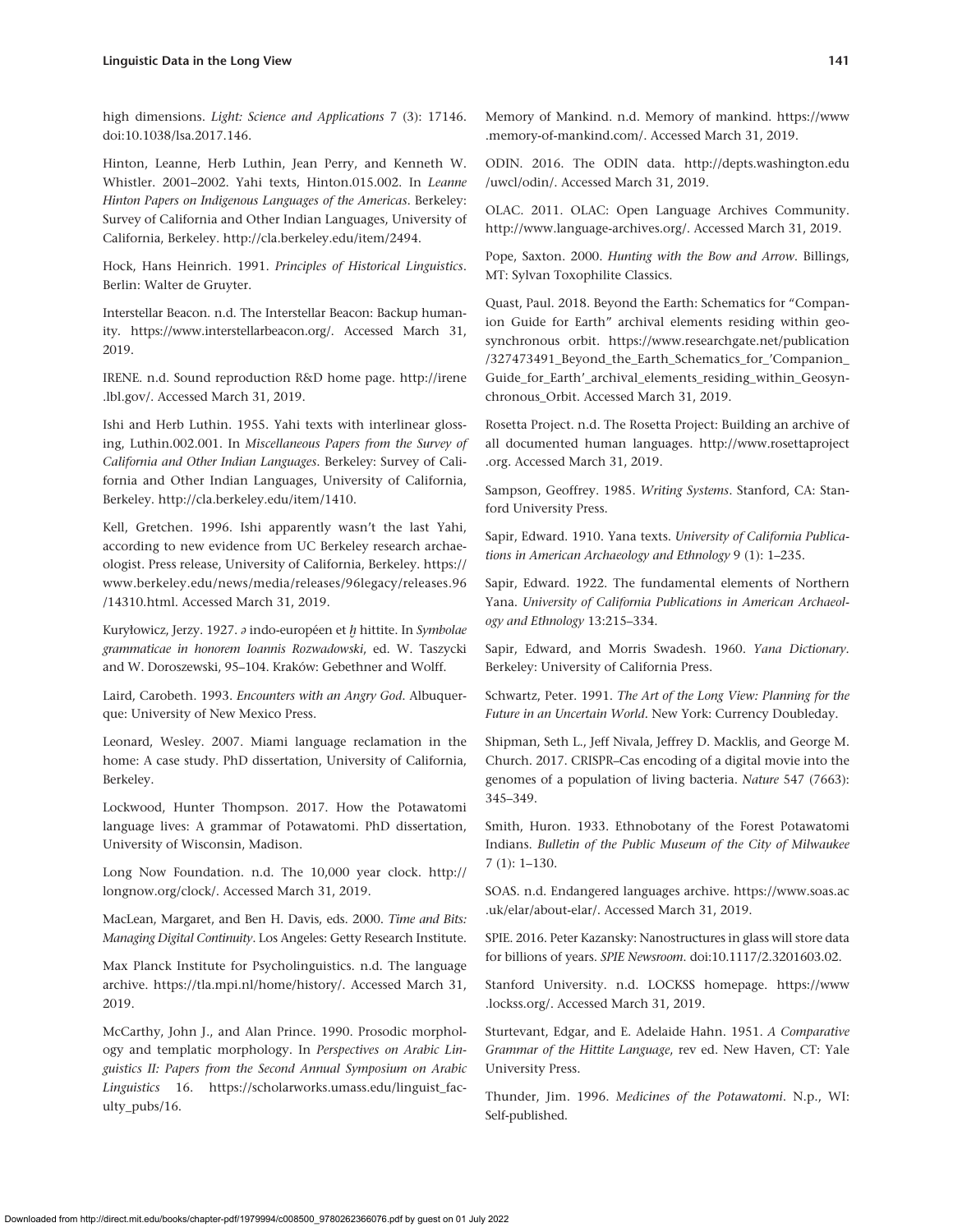high dimensions. *Light: Science and Applications* 7 (3): 17146. doi:10.1038/lsa.2017.146.

Hinton, Leanne, Herb Luthin, Jean Perry, and Kenneth W. Whistler. 2001–2002. Yahi texts, Hinton.015.002. In *Leanne Hinton Papers on Indigenous Languages of the Americas*. Berkeley: Survey of California and Other Indian Languages, University of California, Berkeley. [http://cla.berkeley.edu/item/2494.](http://cla.berkeley.edu/item/2494)

Hock, Hans Heinrich. 1991. *Principles of Historical Linguistics*. Berlin: Walter de Gruyter.

Interstellar Beacon. n.d. The Interstellar Beacon: Backup humanity. [https://www.interstellarbeacon.org/.](https://www.interstellarbeacon.org/) Accessed March 31, 2019.

IRENE. n.d. Sound reproduction R&D home page. [http://irene](http://irene.lbl.gov/) [.lbl.gov/.](http://irene.lbl.gov/) Accessed March 31, 2019.

Ishi and Herb Luthin. 1955. Yahi texts with interlinear glossing, Luthin.002.001. In *Miscellaneous Papers from the Survey of California and Other Indian Languages*. Berkeley: Survey of California and Other Indian Languages, University of California, Berkeley. [http://cla.berkeley.edu/item/1410.](http://cla.berkeley.edu/item/1410)

Kell, Gretchen. 1996. Ishi apparently wasn't the last Yahi, according to new evidence from UC Berkeley research archaeologist. Press release, University of California, Berkeley. [https://](https://www.berkeley.edu/news/media/releases/96legacy/releases.96/14310.html) [www.berkeley.edu/news/media/releases/96legacy/releases.96](https://www.berkeley.edu/news/media/releases/96legacy/releases.96/14310.html) [/14310.html](https://www.berkeley.edu/news/media/releases/96legacy/releases.96/14310.html). Accessed March 31, 2019.

Kuryłowicz, Jerzy. 1927. *ə* indo-européen et *ḫ* hittite. In *Symbolae grammaticae in honorem Ioannis Rozwadowski*, ed. W. Taszycki and W. Doroszewski, 95–104. Kraków: Gebethner and Wolff.

Laird, Carobeth. 1993. *Encounters with an Angry God*. Albuquerque: University of New Mexico Press.

Leonard, Wesley. 2007. Miami language reclamation in the home: A case study. PhD dissertation, University of California, Berkeley.

Lockwood, Hunter Thompson. 2017. How the Potawatomi language lives: A grammar of Potawatomi. PhD dissertation, University of Wisconsin, Madison.

Long Now Foundation. n.d. The 10,000 year clock. [http://](http://longnow.org/clock/) [longnow.org/clock/.](http://longnow.org/clock/) Accessed March 31, 2019.

MacLean, Margaret, and Ben H. Davis, eds. 2000. *Time and Bits: Managing Digital Continuity*. Los Angeles: Getty Research Institute.

Max Planck Institute for Psycholinguistics. n.d. The language archive. [https://tla.mpi.nl/home/history/.](https://tla.mpi.nl/home/history/) Accessed March 31, 2019.

McCarthy, John J., and Alan Prince. 1990. Prosodic morphology and templatic morphology. In *Perspectives on Arabic Linguistics II: Papers from the Second Annual Symposium on Arabic Linguistics* 16. [https://scholarworks.umass.edu/linguist\\_fac](https://scholarworks.umass.edu/linguist_faculty_pubs/16)[ulty\\_pubs/16.](https://scholarworks.umass.edu/linguist_faculty_pubs/16)

Memory of Mankind. n.d. Memory of mankind. [https://www](https://www.memory-of-mankind.com/) [.memory-of-mankind.com/.](https://www.memory-of-mankind.com/) Accessed March 31, 2019.

ODIN. 2016. The ODIN data. [http://depts.washington.edu](http://depts.washington.edu/uwcl/odin/) [/uwcl/odin/](http://depts.washington.edu/uwcl/odin/). Accessed March 31, 2019.

OLAC. 2011. OLAC: Open Language Archives Community. <http://www.language-archives.org/>. Accessed March 31, 2019.

Pope, Saxton. 2000. *Hunting with the Bow and Arrow*. Billings, MT: Sylvan Toxophilite Classics.

Quast, Paul. 2018. Beyond the Earth: Schematics for "Companion Guide for Earth" archival elements residing within geosynchronous orbit. [https://www.researchgate.net/publication](https://www.researchgate.net/publication/327473491_Beyond_the_Earth_Schematics_for_) [/327473491\\_Beyond\\_the\\_Earth\\_Schematics\\_for\\_'Companion\\_](https://www.researchgate.net/publication/327473491_Beyond_the_Earth_Schematics_for_) [Guide\\_for\\_Earth'\\_archival\\_elements\\_residing\\_within\\_Geosyn](https://www.researchgate.net/publication/327473491_Beyond_the_Earth_Schematics_for_)[chronous\\_Orbit.](https://www.researchgate.net/publication/327473491_Beyond_the_Earth_Schematics_for_) Accessed March 31, 2019.

Rosetta Project. n.d. The Rosetta Project: Building an archive of all documented human languages. [http://www.rosettaproject](http://www.rosettaproject.org) [.org](http://www.rosettaproject.org). Accessed March 31, 2019.

Sampson, Geoffrey. 1985. *Writing Systems*. Stanford, CA: Stanford University Press.

Sapir, Edward. 1910. Yana texts. *University of California Publications in American Archaeology and Ethnology* 9 (1): 1–235.

Sapir, Edward. 1922. The fundamental elements of Northern Yana. *University of California Publications in American Archaeology and Ethnology* 13:215–334.

Sapir, Edward, and Morris Swadesh. 1960. *Yana Dictionary.* Berkeley: University of California Press.

Schwartz, Peter. 1991. *The Art of the Long View: Planning for the Future in an Uncertain World.* New York: Currency Doubleday.

Shipman, Seth L., Jeff Nivala, Jeffrey D. Macklis, and George M. Church. 2017. CRISPR–Cas encoding of a digital movie into the genomes of a population of living bacteria. *Nature* 547 (7663): 345–349.

Smith, Huron. 1933. Ethnobotany of the Forest Potawatomi Indians. *Bulletin of the Public Museum of the City of Milwaukee* 7 (1): 1–130.

SOAS. n.d. Endangered languages archive. [https://www.soas.ac](https://www.soas.ac.uk/elar/about-elar/) [.uk/elar/about-elar/.](https://www.soas.ac.uk/elar/about-elar/) Accessed March 31, 2019.

SPIE. 2016. Peter Kazansky: Nanostructures in glass will store data for billions of years. *SPIE Newsroom*. doi:10.1117/2.3201603.02.

Stanford University. n.d. LOCKSS homepage. [https://www](https://www.lockss.org/) [.lockss.org/.](https://www.lockss.org/) Accessed March 31, 2019.

Sturtevant, Edgar, and E. Adelaide Hahn. 1951. *A Comparative Grammar of the Hittite Language*, rev ed. New Haven, CT: Yale University Press.

Thunder, Jim. 1996. *Medicines of the Potawatomi*. N.p., WI: Self-published.